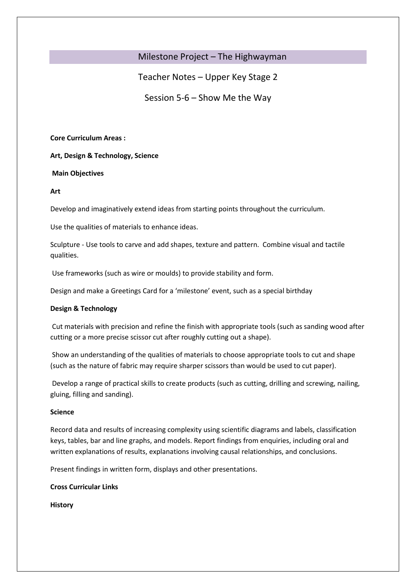# Milestone Project – The Highwayman

Teacher Notes – Upper Key Stage 2

Session 5-6 – Show Me the Way

**Core Curriculum Areas :** 

**Art, Design & Technology, Science**

**Main Objectives** 

**Art**

Develop and imaginatively extend ideas from starting points throughout the curriculum.

Use the qualities of materials to enhance ideas.

Sculpture - Use tools to carve and add shapes, texture and pattern. Combine visual and tactile qualities.

Use frameworks (such as wire or moulds) to provide stability and form.

Design and make a Greetings Card for a 'milestone' event, such as a special birthday

# **Design & Technology**

Cut materials with precision and refine the finish with appropriate tools (such as sanding wood after cutting or a more precise scissor cut after roughly cutting out a shape).

Show an understanding of the qualities of materials to choose appropriate tools to cut and shape (such as the nature of fabric may require sharper scissors than would be used to cut paper).

Develop a range of practical skills to create products (such as cutting, drilling and screwing, nailing, gluing, filling and sanding).

# **Science**

Record data and results of increasing complexity using scientific diagrams and labels, classification keys, tables, bar and line graphs, and models. Report findings from enquiries, including oral and written explanations of results, explanations involving causal relationships, and conclusions.

Present findings in written form, displays and other presentations.

**Cross Curricular Links**

**History**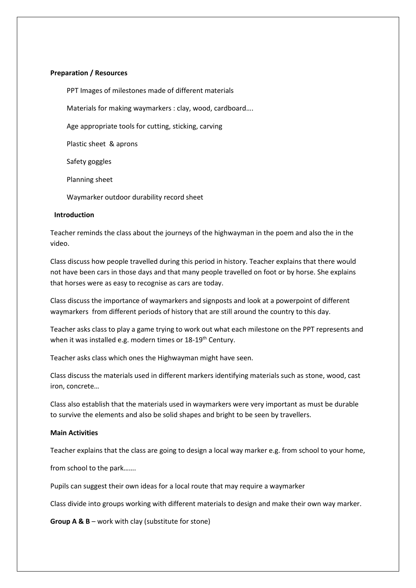### **Preparation / Resources**

PPT Images of milestones made of different materials

Materials for making waymarkers : clay, wood, cardboard….

Age appropriate tools for cutting, sticking, carving

Plastic sheet & aprons

Safety goggles

Planning sheet

Waymarker outdoor durability record sheet

#### **Introduction**

Teacher reminds the class about the journeys of the highwayman in the poem and also the in the video.

Class discuss how people travelled during this period in history. Teacher explains that there would not have been cars in those days and that many people travelled on foot or by horse. She explains that horses were as easy to recognise as cars are today.

Class discuss the importance of waymarkers and signposts and look at a powerpoint of different waymarkers from different periods of history that are still around the country to this day.

Teacher asks class to play a game trying to work out what each milestone on the PPT represents and when it was installed e.g. modern times or 18-19<sup>th</sup> Century.

Teacher asks class which ones the Highwayman might have seen.

Class discuss the materials used in different markers identifying materials such as stone, wood, cast iron, concrete…

Class also establish that the materials used in waymarkers were very important as must be durable to survive the elements and also be solid shapes and bright to be seen by travellers.

#### **Main Activities**

Teacher explains that the class are going to design a local way marker e.g. from school to your home,

from school to the park…….

Pupils can suggest their own ideas for a local route that may require a waymarker

Class divide into groups working with different materials to design and make their own way marker.

**Group A & B** – work with clay (substitute for stone)